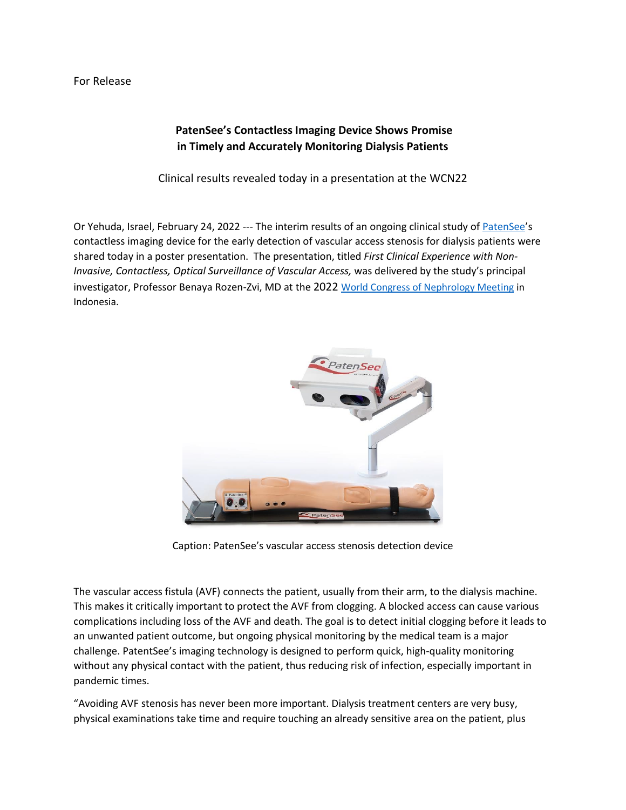## For Release

## **PatenSee's Contactless Imaging Device Shows Promise in Timely and Accurately Monitoring Dialysis Patients**

Clinical results revealed today in a presentation at the WCN22

Or Yehuda, Israel, February 24, 2022 --- The interim results of an ongoing clinical study of [PatenSee](http://www.patensee.com/)'s contactless imaging device for the early detection of vascular access stenosis for dialysis patients were shared today in a poster presentation. The presentation, titled *First Clinical Experience with Non-Invasive, Contactless, Optical Surveillance of Vascular Access,* was delivered by the study's principal investigator, Professor Benaya Rozen-Zvi, MD at the 2022 [World Congress of Nephrology Meeting](https://www.theisn.org/wcn/) in Indonesia.



Caption: PatenSee's vascular access stenosis detection device

The vascular access fistula (AVF) connects the patient, usually from their arm, to the dialysis machine. This makes it critically important to protect the AVF from clogging. A blocked access can cause various complications including loss of the AVF and death. The goal is to detect initial clogging before it leads to an unwanted patient outcome, but ongoing physical monitoring by the medical team is a major challenge. PatentSee's imaging technology is designed to perform quick, high-quality monitoring without any physical contact with the patient, thus reducing risk of infection, especially important in pandemic times.

"Avoiding AVF stenosis has never been more important. Dialysis treatment centers are very busy, physical examinations take time and require touching an already sensitive area on the patient, plus